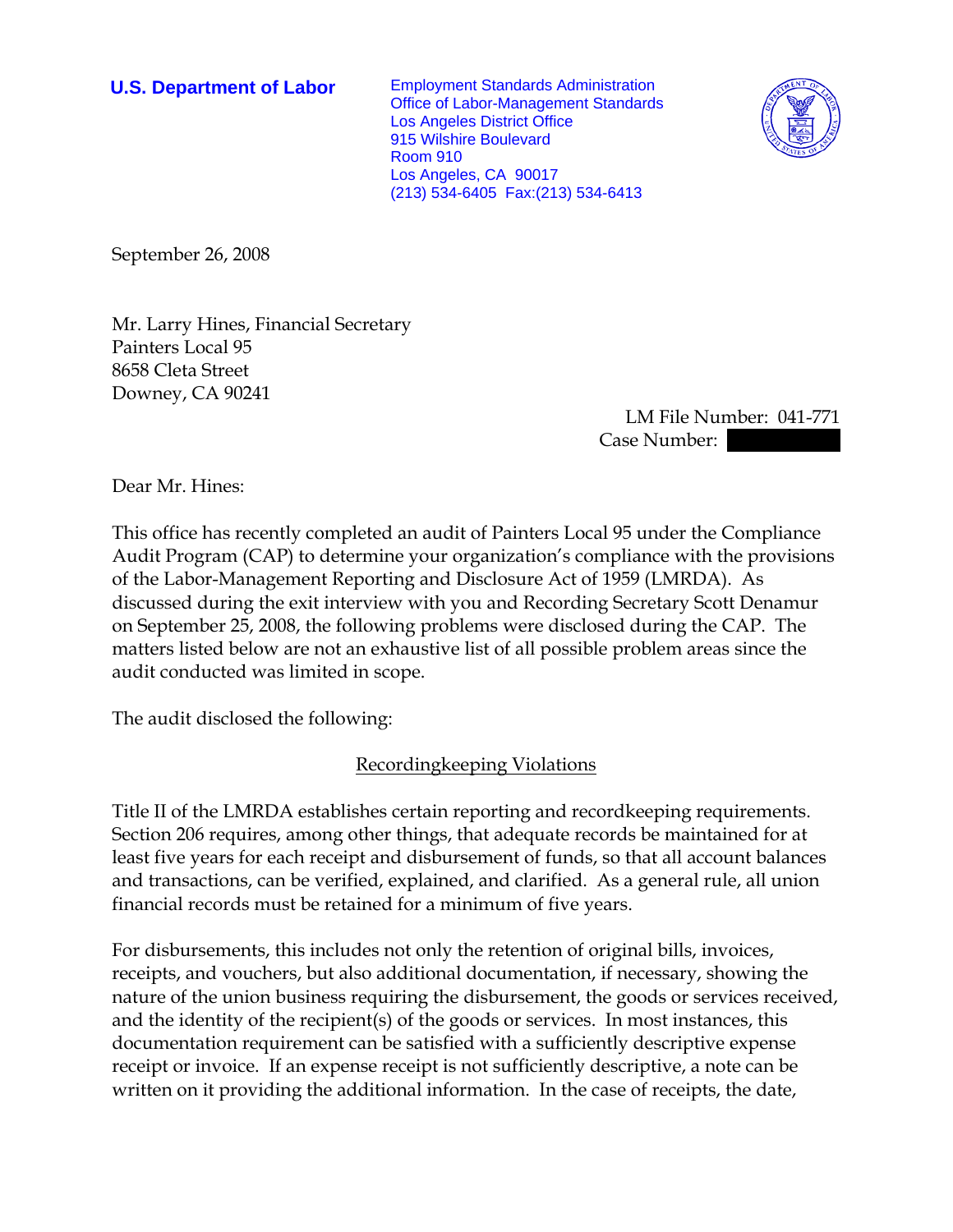**U.S. Department of Labor** Employment Standards Administration Office of Labor-Management Standards Los Angeles District Office 915 Wilshire Boulevard Room 910 Los Angeles, CA 90017 (213) 534-6405 Fax:(213) 534-6413



September 26, 2008

Mr. Larry Hines, Financial Secretary Painters Local 95 8658 Cleta Street Downey, CA 90241

> LM File Number: 041-771 Case Number:

Dear Mr. Hines:

This office has recently completed an audit of Painters Local 95 under the Compliance Audit Program (CAP) to determine your organization's compliance with the provisions of the Labor-Management Reporting and Disclosure Act of 1959 (LMRDA). As discussed during the exit interview with you and Recording Secretary Scott Denamur on September 25, 2008, the following problems were disclosed during the CAP. The matters listed below are not an exhaustive list of all possible problem areas since the audit conducted was limited in scope.

The audit disclosed the following:

Recordingkeeping Violations

Title II of the LMRDA establishes certain reporting and recordkeeping requirements. Section 206 requires, among other things, that adequate records be maintained for at least five years for each receipt and disbursement of funds, so that all account balances and transactions, can be verified, explained, and clarified. As a general rule, all union financial records must be retained for a minimum of five years.

For disbursements, this includes not only the retention of original bills, invoices, receipts, and vouchers, but also additional documentation, if necessary, showing the nature of the union business requiring the disbursement, the goods or services received, and the identity of the recipient(s) of the goods or services. In most instances, this documentation requirement can be satisfied with a sufficiently descriptive expense receipt or invoice. If an expense receipt is not sufficiently descriptive, a note can be written on it providing the additional information. In the case of receipts, the date,